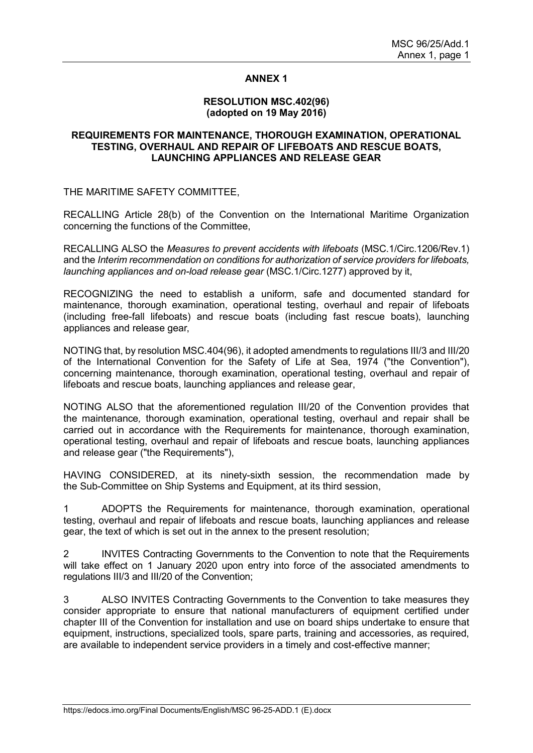### **ANNEX 1**

### **RESOLUTION MSC.402(96) (adopted on 19 May 2016)**

### **REQUIREMENTS FOR MAINTENANCE, THOROUGH EXAMINATION, OPERATIONAL TESTING, OVERHAUL AND REPAIR OF LIFEBOATS AND RESCUE BOATS, LAUNCHING APPLIANCES AND RELEASE GEAR**

THE MARITIME SAFETY COMMITTEE,

RECALLING Article 28(b) of the Convention on the International Maritime Organization concerning the functions of the Committee,

RECALLING ALSO the *Measures to prevent accidents with lifeboats* (MSC.1/Circ.1206/Rev.1) and the *Interim recommendation on conditions for authorization of service providers for lifeboats, launching appliances and on-load release gear* (MSC.1/Circ.1277) approved by it,

RECOGNIZING the need to establish a uniform, safe and documented standard for maintenance, thorough examination, operational testing, overhaul and repair of lifeboats (including free-fall lifeboats) and rescue boats (including fast rescue boats), launching appliances and release gear,

NOTING that, by resolution MSC.404(96), it adopted amendments to regulations III/3 and III/20 of the International Convention for the Safety of Life at Sea, 1974 ("the Convention"), concerning maintenance, thorough examination, operational testing, overhaul and repair of lifeboats and rescue boats, launching appliances and release gear,

NOTING ALSO that the aforementioned regulation III/20 of the Convention provides that the maintenance*,* thorough examination, operational testing, overhaul and repair shall be carried out in accordance with the Requirements for maintenance, thorough examination, operational testing, overhaul and repair of lifeboats and rescue boats, launching appliances and release gear ("the Requirements"),

HAVING CONSIDERED, at its ninety-sixth session, the recommendation made by the Sub-Committee on Ship Systems and Equipment, at its third session,

1 ADOPTS the Requirements for maintenance, thorough examination, operational testing, overhaul and repair of lifeboats and rescue boats, launching appliances and release gear, the text of which is set out in the annex to the present resolution;

2 INVITES Contracting Governments to the Convention to note that the Requirements will take effect on 1 January 2020 upon entry into force of the associated amendments to regulations III/3 and III/20 of the Convention;

3 ALSO INVITES Contracting Governments to the Convention to take measures they consider appropriate to ensure that national manufacturers of equipment certified under chapter III of the Convention for installation and use on board ships undertake to ensure that equipment, instructions, specialized tools, spare parts, training and accessories, as required, are available to independent service providers in a timely and cost-effective manner;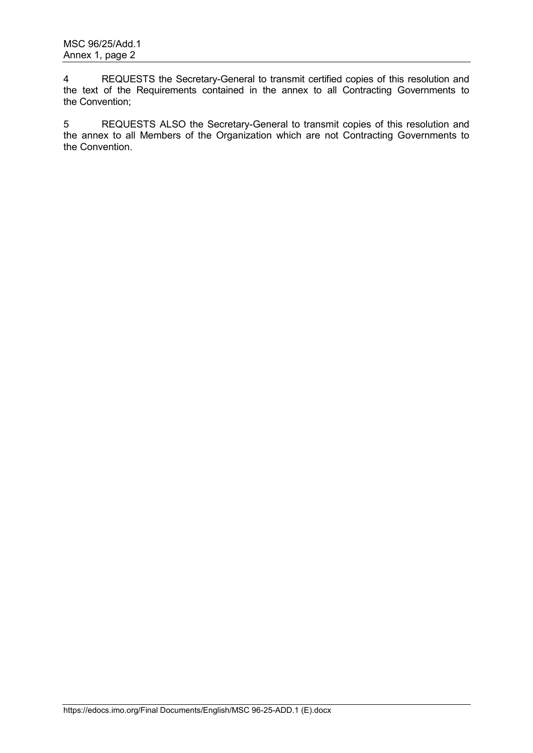4 REQUESTS the Secretary-General to transmit certified copies of this resolution and the text of the Requirements contained in the annex to all Contracting Governments to the Convention;

5 REQUESTS ALSO the Secretary-General to transmit copies of this resolution and the annex to all Members of the Organization which are not Contracting Governments to the Convention.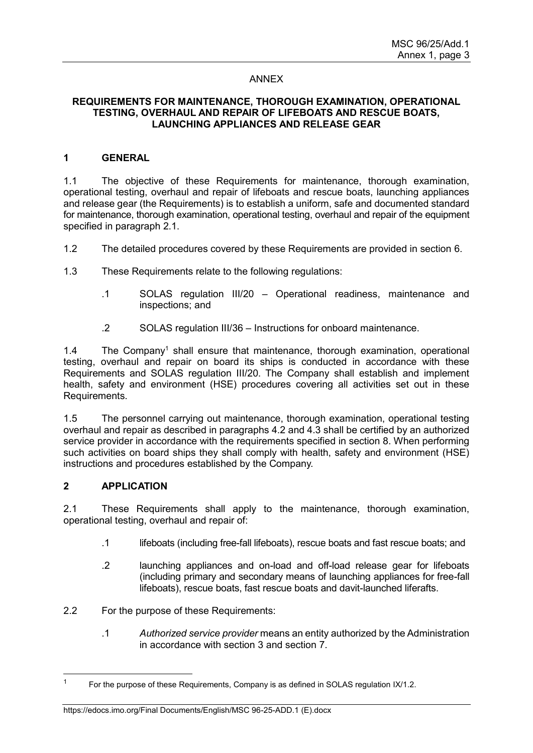### ANNEX

### **REQUIREMENTS FOR MAINTENANCE, THOROUGH EXAMINATION, OPERATIONAL TESTING, OVERHAUL AND REPAIR OF LIFEBOATS AND RESCUE BOATS, LAUNCHING APPLIANCES AND RELEASE GEAR**

### **1 GENERAL**

1.1 The objective of these Requirements for maintenance, thorough examination, operational testing, overhaul and repair of lifeboats and rescue boats, launching appliances and release gear (the Requirements) is to establish a uniform, safe and documented standard for maintenance, thorough examination, operational testing, overhaul and repair of the equipment specified in paragraph 2.1.

1.2 The detailed procedures covered by these Requirements are provided in section 6.

1.3 These Requirements relate to the following regulations:

- .1 SOLAS regulation III/20 Operational readiness, maintenance and inspections; and
- .2 SOLAS regulation III/36 Instructions for onboard maintenance.

1.4 The Company<sup>1</sup> shall ensure that maintenance, thorough examination, operational testing, overhaul and repair on board its ships is conducted in accordance with these Requirements and SOLAS regulation III/20. The Company shall establish and implement health, safety and environment (HSE) procedures covering all activities set out in these Requirements.

1.5 The personnel carrying out maintenance, thorough examination, operational testing overhaul and repair as described in paragraphs 4.2 and 4.3 shall be certified by an authorized service provider in accordance with the requirements specified in section 8. When performing such activities on board ships they shall comply with health, safety and environment (HSE) instructions and procedures established by the Company.

### **2 APPLICATION**

2.1 These Requirements shall apply to the maintenance, thorough examination, operational testing, overhaul and repair of:

- .1 lifeboats (including free-fall lifeboats), rescue boats and fast rescue boats; and
- .2 launching appliances and on-load and off-load release gear for lifeboats (including primary and secondary means of launching appliances for free-fall lifeboats), rescue boats, fast rescue boats and davit-launched liferafts.

2.2 For the purpose of these Requirements:

.1 *Authorized service provider* means an entity authorized by the Administration in accordance with section 3 and section 7.

### https://edocs.imo.org/Final Documents/English/MSC 96-25-ADD.1 (E).docx

 $\overline{1}$ For the purpose of these Requirements, Company is as defined in SOLAS regulation IX/1.2.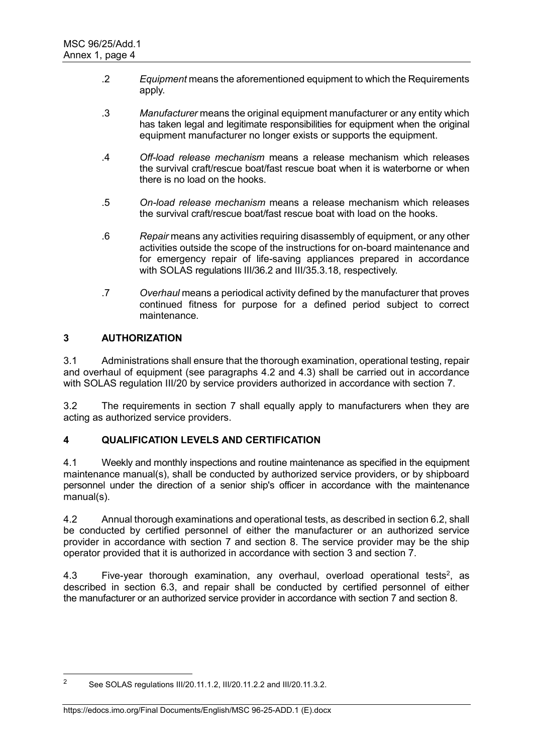- .2 *Equipment* means the aforementioned equipment to which the Requirements apply.
- .3 *Manufacturer* means the original equipment manufacturer or any entity which has taken legal and legitimate responsibilities for equipment when the original equipment manufacturer no longer exists or supports the equipment.
- .4 *Off-load release mechanism* means a release mechanism which releases the survival craft/rescue boat/fast rescue boat when it is waterborne or when there is no load on the hooks.
- .5 *On-load release mechanism* means a release mechanism which releases the survival craft/rescue boat/fast rescue boat with load on the hooks.
- .6 *Repair* means any activities requiring disassembly of equipment, or any other activities outside the scope of the instructions for on-board maintenance and for emergency repair of life-saving appliances prepared in accordance with SOLAS regulations III/36.2 and III/35.3.18, respectively.
- .7 *Overhaul* means a periodical activity defined by the manufacturer that proves continued fitness for purpose for a defined period subject to correct maintenance.

# **3 AUTHORIZATION**

3.1 Administrations shall ensure that the thorough examination, operational testing, repair and overhaul of equipment (see paragraphs 4.2 and 4.3) shall be carried out in accordance with SOLAS regulation III/20 by service providers authorized in accordance with section 7.

3.2 The requirements in section 7 shall equally apply to manufacturers when they are acting as authorized service providers.

## **4 QUALIFICATION LEVELS AND CERTIFICATION**

4.1 Weekly and monthly inspections and routine maintenance as specified in the equipment maintenance manual(s), shall be conducted by authorized service providers, or by shipboard personnel under the direction of a senior ship's officer in accordance with the maintenance manual(s).

4.2 Annual thorough examinations and operational tests, as described in section 6.2, shall be conducted by certified personnel of either the manufacturer or an authorized service provider in accordance with section 7 and section 8. The service provider may be the ship operator provided that it is authorized in accordance with section 3 and section 7.

4.3  $\quad$  Five-year thorough examination, any overhaul, overload operational tests<sup>2</sup>, as described in section 6.3, and repair shall be conducted by certified personnel of either the manufacturer or an authorized service provider in accordance with section 7 and section 8.

 $\overline{2}$ <sup>2</sup> See SOLAS regulations III/20.11.1.2, III/20.11.2.2 and III/20.11.3.2.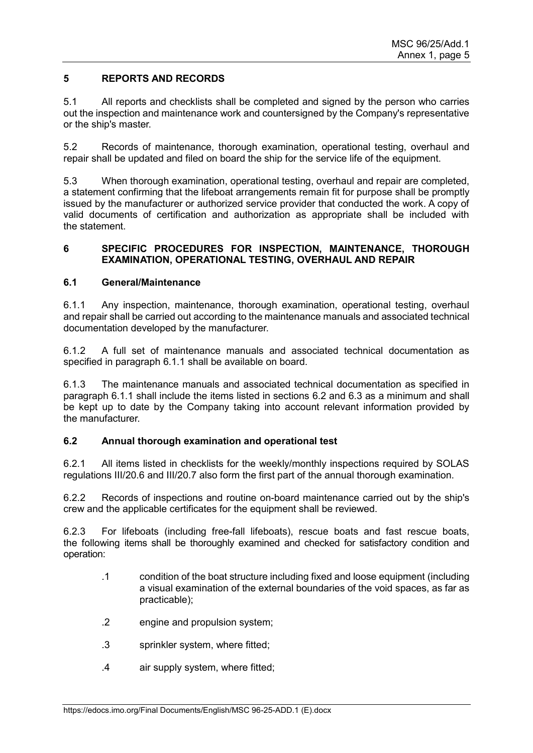## **5 REPORTS AND RECORDS**

5.1 All reports and checklists shall be completed and signed by the person who carries out the inspection and maintenance work and countersigned by the Company's representative or the ship's master.

5.2 Records of maintenance, thorough examination, operational testing, overhaul and repair shall be updated and filed on board the ship for the service life of the equipment.

5.3 When thorough examination, operational testing, overhaul and repair are completed, a statement confirming that the lifeboat arrangements remain fit for purpose shall be promptly issued by the manufacturer or authorized service provider that conducted the work. A copy of valid documents of certification and authorization as appropriate shall be included with the statement.

## **6 SPECIFIC PROCEDURES FOR INSPECTION, MAINTENANCE, THOROUGH EXAMINATION, OPERATIONAL TESTING, OVERHAUL AND REPAIR**

## **6.1 General/Maintenance**

6.1.1 Any inspection, maintenance, thorough examination, operational testing, overhaul and repair shall be carried out according to the maintenance manuals and associated technical documentation developed by the manufacturer.

6.1.2 A full set of maintenance manuals and associated technical documentation as specified in paragraph 6.1.1 shall be available on board.

6.1.3 The maintenance manuals and associated technical documentation as specified in paragraph 6.1.1 shall include the items listed in sections 6.2 and 6.3 as a minimum and shall be kept up to date by the Company taking into account relevant information provided by the manufacturer.

## **6.2 Annual thorough examination and operational test**

6.2.1 All items listed in checklists for the weekly/monthly inspections required by SOLAS regulations III/20.6 and III/20.7 also form the first part of the annual thorough examination.

6.2.2 Records of inspections and routine on-board maintenance carried out by the ship's crew and the applicable certificates for the equipment shall be reviewed.

6.2.3 For lifeboats (including free-fall lifeboats), rescue boats and fast rescue boats, the following items shall be thoroughly examined and checked for satisfactory condition and operation:

- .1 condition of the boat structure including fixed and loose equipment (including a visual examination of the external boundaries of the void spaces, as far as practicable);
- .2 engine and propulsion system;
- .3 sprinkler system, where fitted;
- .4 air supply system, where fitted;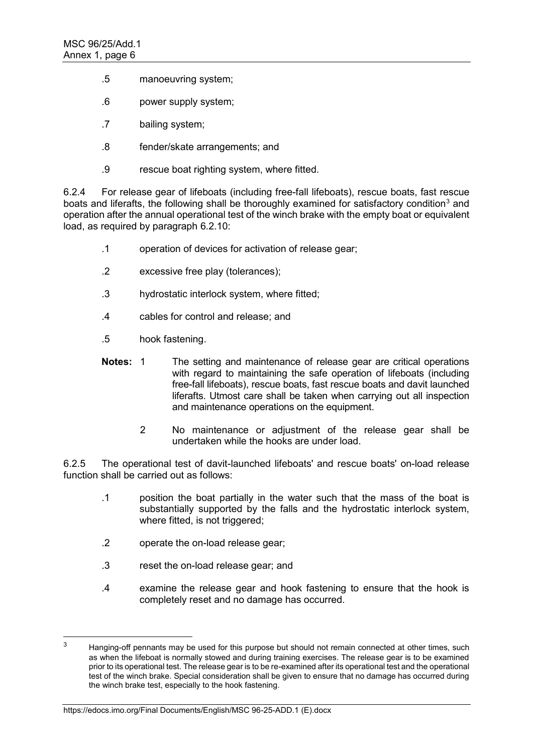- .5 manoeuvring system;
- .6 power supply system;
- .7 bailing system;
- .8 fender/skate arrangements; and
- .9 rescue boat righting system, where fitted.

6.2.4 For release gear of lifeboats (including free-fall lifeboats), rescue boats, fast rescue boats and liferafts, the following shall be thoroughly examined for satisfactory condition $^3$  and operation after the annual operational test of the winch brake with the empty boat or equivalent load, as required by paragraph 6.2.10:

- .1 operation of devices for activation of release gear;
- .2 excessive free play (tolerances);
- .3 hydrostatic interlock system, where fitted;
- .4 cables for control and release; and
- .5 hook fastening.
- **Notes:** 1 The setting and maintenance of release gear are critical operations with regard to maintaining the safe operation of lifeboats (including free-fall lifeboats), rescue boats, fast rescue boats and davit launched liferafts. Utmost care shall be taken when carrying out all inspection and maintenance operations on the equipment.
	- 2 No maintenance or adjustment of the release gear shall be undertaken while the hooks are under load.

6.2.5 The operational test of davit-launched lifeboats' and rescue boats' on-load release function shall be carried out as follows:

- .1 position the boat partially in the water such that the mass of the boat is substantially supported by the falls and the hydrostatic interlock system, where fitted, is not triggered;
- .2 operate the on-load release gear;
- .3 reset the on-load release gear; and
- .4 examine the release gear and hook fastening to ensure that the hook is completely reset and no damage has occurred.

 $\overline{a}$ Hanging-off pennants may be used for this purpose but should not remain connected at other times, such as when the lifeboat is normally stowed and during training exercises. The release gear is to be examined prior to its operational test. The release gear is to be re-examined after its operational test and the operational test of the winch brake. Special consideration shall be given to ensure that no damage has occurred during the winch brake test, especially to the hook fastening.

https://edocs.imo.org/Final Documents/English/MSC 96-25-ADD.1 (E).docx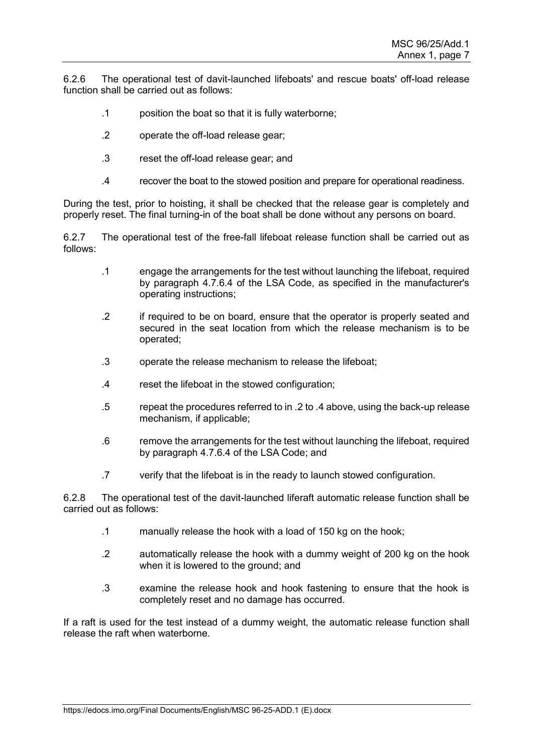6.2.6 The operational test of davit-launched lifeboats' and rescue boats' off-load release function shall be carried out as follows:

- .1 position the boat so that it is fully waterborne;
- .2 operate the off-load release gear;
- .3 reset the off-load release gear; and
- .4 recover the boat to the stowed position and prepare for operational readiness.

During the test, prior to hoisting, it shall be checked that the release gear is completely and properly reset. The final turning-in of the boat shall be done without any persons on board.

6.2.7 The operational test of the free-fall lifeboat release function shall be carried out as follows:

- .1 engage the arrangements for the test without launching the lifeboat, required by paragraph 4.7.6.4 of the LSA Code, as specified in the manufacturer's operating instructions;
- .2 if required to be on board, ensure that the operator is properly seated and secured in the seat location from which the release mechanism is to be operated;
- .3 operate the release mechanism to release the lifeboat;
- .4 reset the lifeboat in the stowed configuration;
- .5 repeat the procedures referred to in .2 to .4 above, using the back-up release mechanism, if applicable;
- .6 remove the arrangements for the test without launching the lifeboat, required by paragraph 4.7.6.4 of the LSA Code; and
- .7 verify that the lifeboat is in the ready to launch stowed configuration.

6.2.8 The operational test of the davit-launched liferaft automatic release function shall be carried out as follows:

- .1 manually release the hook with a load of 150 kg on the hook;
- .2 automatically release the hook with a dummy weight of 200 kg on the hook when it is lowered to the ground; and
- .3 examine the release hook and hook fastening to ensure that the hook is completely reset and no damage has occurred.

If a raft is used for the test instead of a dummy weight, the automatic release function shall release the raft when waterborne.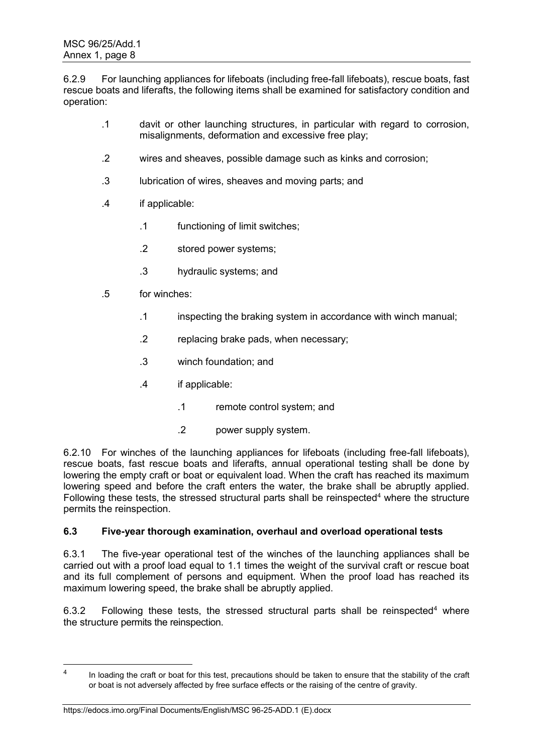6.2.9 For launching appliances for lifeboats (including free-fall lifeboats), rescue boats, fast rescue boats and liferafts, the following items shall be examined for satisfactory condition and operation:

- .1 davit or other launching structures, in particular with regard to corrosion, misalignments, deformation and excessive free play;
- .2 wires and sheaves, possible damage such as kinks and corrosion;
- .3 lubrication of wires, sheaves and moving parts; and
- .4 if applicable:
	- .1 functioning of limit switches;
	- .2 stored power systems;
	- .3 hydraulic systems; and
- .5 for winches:
	- .1 inspecting the braking system in accordance with winch manual;
	- .2 replacing brake pads, when necessary;
	- .3 winch foundation; and
	- .4 if applicable:
		- .1 remote control system; and
		- .2 power supply system.

6.2.10 For winches of the launching appliances for lifeboats (including free-fall lifeboats), rescue boats, fast rescue boats and liferafts, annual operational testing shall be done by lowering the empty craft or boat or equivalent load. When the craft has reached its maximum lowering speed and before the craft enters the water, the brake shall be abruptly applied. Following these tests, the stressed structural parts shall be reinspected<sup>4</sup> where the structure permits the reinspection.

## **6.3 Five-year thorough examination, overhaul and overload operational tests**

6.3.1 The five-year operational test of the winches of the launching appliances shall be carried out with a proof load equal to 1.1 times the weight of the survival craft or rescue boat and its full complement of persons and equipment. When the proof load has reached its maximum lowering speed, the brake shall be abruptly applied.

6.3.2 Following these tests, the stressed structural parts shall be reinspected<sup>4</sup> where the structure permits the reinspection.

 $\frac{1}{4}$ In loading the craft or boat for this test, precautions should be taken to ensure that the stability of the craft or boat is not adversely affected by free surface effects or the raising of the centre of gravity.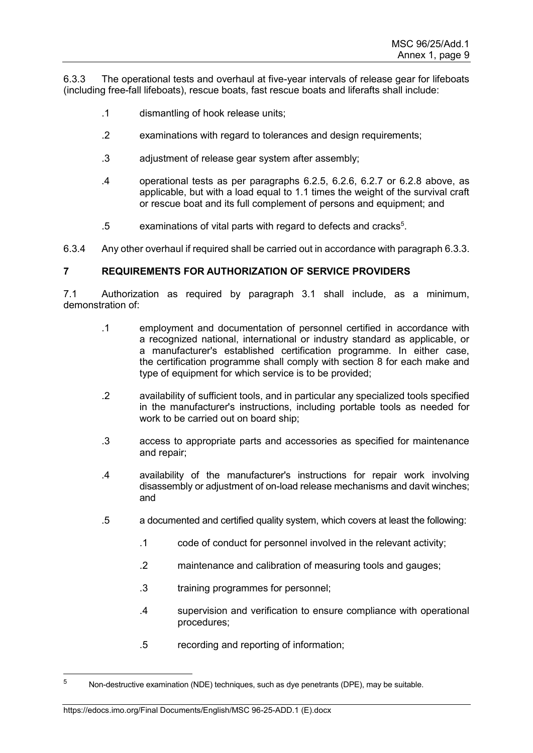6.3.3 The operational tests and overhaul at five-year intervals of release gear for lifeboats (including free-fall lifeboats), rescue boats, fast rescue boats and liferafts shall include:

- .1 dismantling of hook release units;
- .2 examinations with regard to tolerances and design requirements;
- .3 adjustment of release gear system after assembly;
- .4 operational tests as per paragraphs 6.2.5, 6.2.6, 6.2.7 or 6.2.8 above, as applicable, but with a load equal to 1.1 times the weight of the survival craft or rescue boat and its full complement of persons and equipment; and
- $.5$  examinations of vital parts with regard to defects and cracks $5$ .
- 6.3.4 Any other overhaul if required shall be carried out in accordance with paragraph 6.3.3.

### **7 REQUIREMENTS FOR AUTHORIZATION OF SERVICE PROVIDERS**

7.1 Authorization as required by paragraph 3.1 shall include, as a minimum, demonstration of:

- .1 employment and documentation of personnel certified in accordance with a recognized national, international or industry standard as applicable, or a manufacturer's established certification programme. In either case, the certification programme shall comply with section 8 for each make and type of equipment for which service is to be provided;
- .2 availability of sufficient tools, and in particular any specialized tools specified in the manufacturer's instructions, including portable tools as needed for work to be carried out on board ship;
- .3 access to appropriate parts and accessories as specified for maintenance and repair;
- .4 availability of the manufacturer's instructions for repair work involving disassembly or adjustment of on-load release mechanisms and davit winches; and
- .5 a documented and certified quality system, which covers at least the following:
	- .1 code of conduct for personnel involved in the relevant activity;
	- .2 maintenance and calibration of measuring tools and gauges;
	- .3 training programmes for personnel;
	- .4 supervision and verification to ensure compliance with operational procedures;
	- .5 recording and reporting of information;

#### https://edocs.imo.org/Final Documents/English/MSC 96-25-ADD.1 (E).docx

 $\overline{5}$ <sup>5</sup> Non-destructive examination (NDE) techniques, such as dye penetrants (DPE), may be suitable.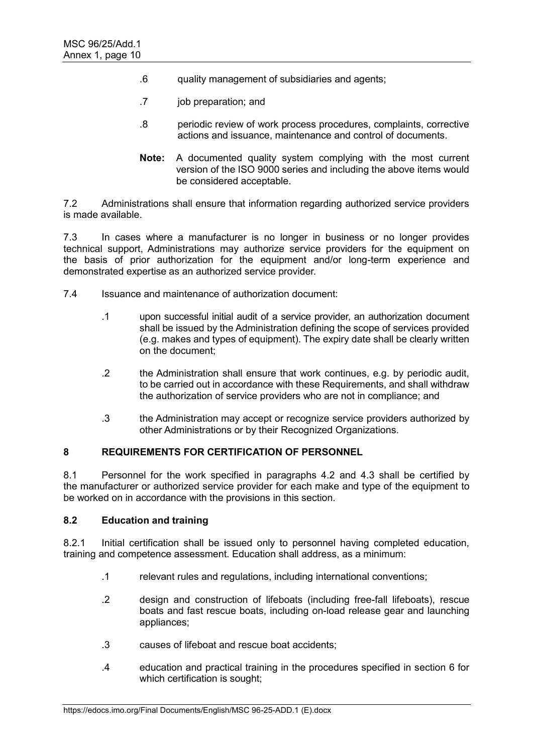- .6 quality management of subsidiaries and agents;
- .7 job preparation; and
- .8 periodic review of work process procedures, complaints, corrective actions and issuance, maintenance and control of documents.
- **Note:** A documented quality system complying with the most current version of the ISO 9000 series and including the above items would be considered acceptable.

7.2 Administrations shall ensure that information regarding authorized service providers is made available.

7.3 In cases where a manufacturer is no longer in business or no longer provides technical support, Administrations may authorize service providers for the equipment on the basis of prior authorization for the equipment and/or long-term experience and demonstrated expertise as an authorized service provider.

- 7.4 Issuance and maintenance of authorization document:
	- .1 upon successful initial audit of a service provider, an authorization document shall be issued by the Administration defining the scope of services provided (e.g. makes and types of equipment). The expiry date shall be clearly written on the document;
	- .2 the Administration shall ensure that work continues, e.g. by periodic audit, to be carried out in accordance with these Requirements, and shall withdraw the authorization of service providers who are not in compliance; and
	- .3 the Administration may accept or recognize service providers authorized by other Administrations or by their Recognized Organizations.

## **8 REQUIREMENTS FOR CERTIFICATION OF PERSONNEL**

8.1 Personnel for the work specified in paragraphs 4.2 and 4.3 shall be certified by the manufacturer or authorized service provider for each make and type of the equipment to be worked on in accordance with the provisions in this section.

## **8.2 Education and training**

8.2.1 Initial certification shall be issued only to personnel having completed education, training and competence assessment. Education shall address, as a minimum:

- .1 relevant rules and regulations, including international conventions;
- .2 design and construction of lifeboats (including free-fall lifeboats), rescue boats and fast rescue boats, including on-load release gear and launching appliances;
- .3 causes of lifeboat and rescue boat accidents;
- .4 education and practical training in the procedures specified in section 6 for which certification is sought;